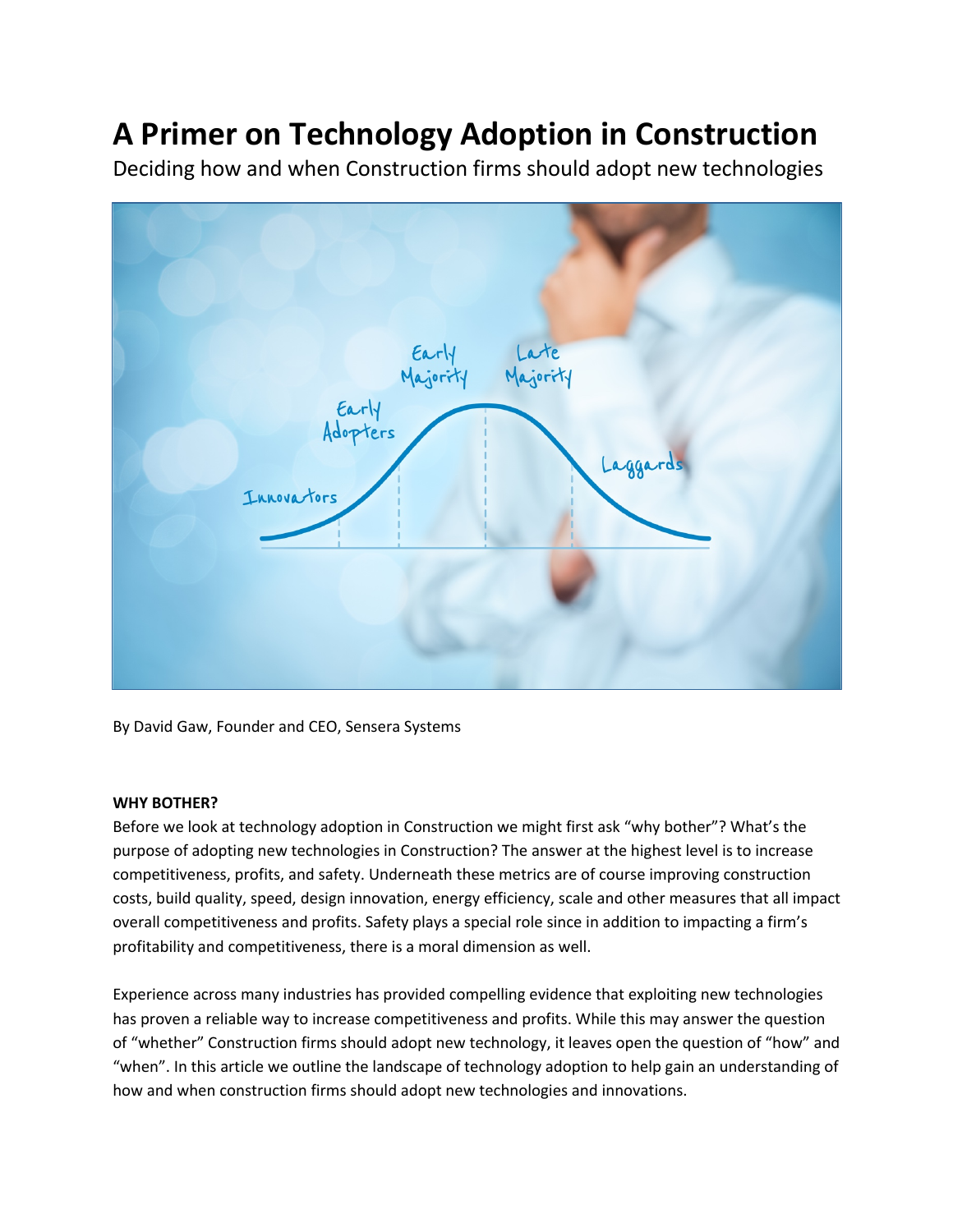# **A Primer on Technology Adoption in Construction** Deciding how and when Construction firms should adopt new technologies



By David Gaw, Founder and CEO, Sensera Systems

# **WHY BOTHER?**

Before we look at technology adoption in Construction we might first ask "why bother"? What's the purpose of adopting new technologies in Construction? The answer at the highest level is to increase competitiveness, profits, and safety. Underneath these metrics are of course improving construction costs, build quality, speed, design innovation, energy efficiency, scale and other measures that all impact overall competitiveness and profits. Safety plays a special role since in addition to impacting a firm's profitability and competitiveness, there is a moral dimension as well.

Experience across many industries has provided compelling evidence that exploiting new technologies has proven a reliable way to increase competitiveness and profits. While this may answer the question of "whether" Construction firms should adopt new technology, it leaves open the question of "how" and "when". In this article we outline the landscape of technology adoption to help gain an understanding of how and when construction firms should adopt new technologies and innovations.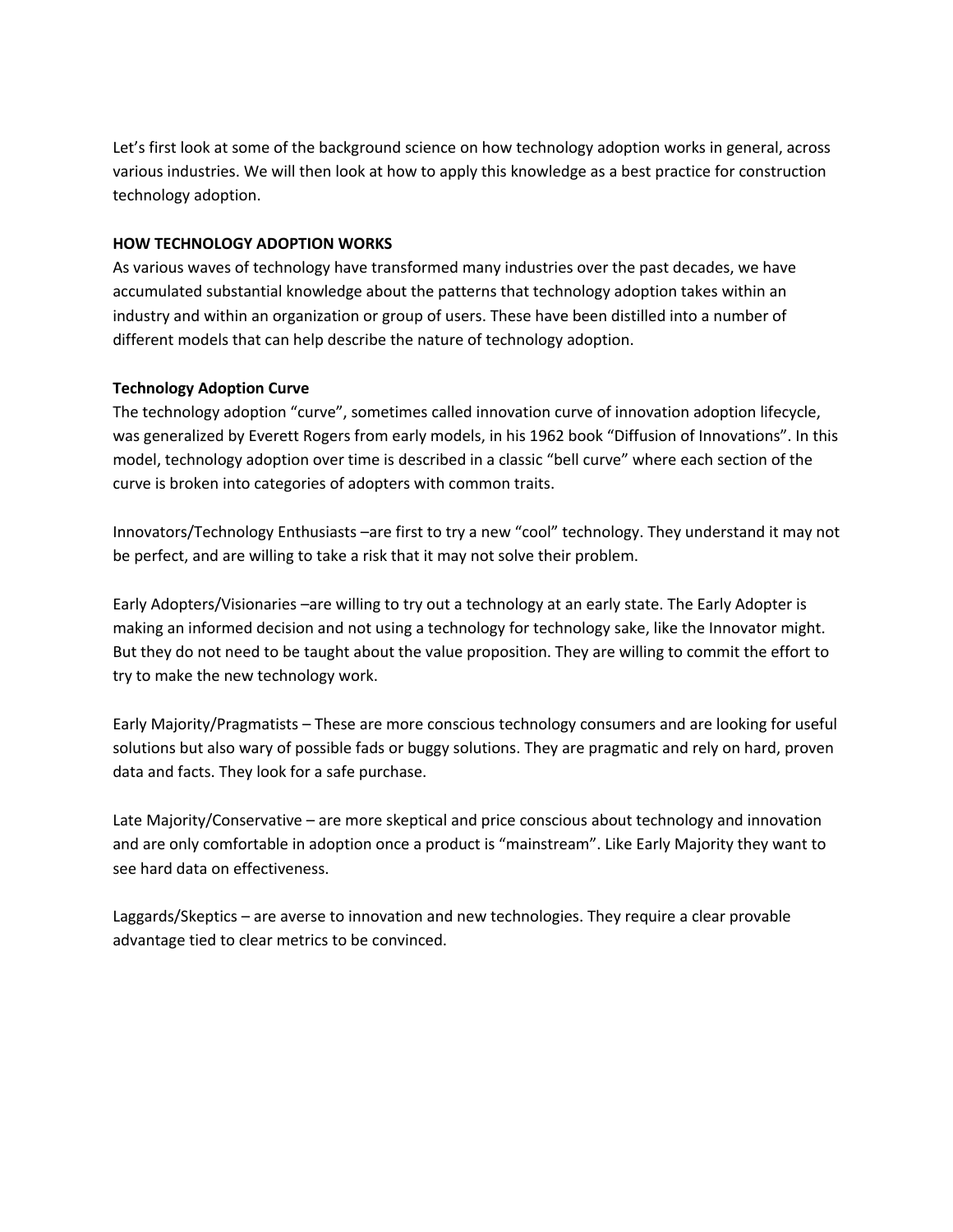Let's first look at some of the background science on how technology adoption works in general, across various industries. We will then look at how to apply this knowledge as a best practice for construction technology adoption.

# **HOW TECHNOLOGY ADOPTION WORKS**

As various waves of technology have transformed many industries over the past decades, we have accumulated substantial knowledge about the patterns that technology adoption takes within an industry and within an organization or group of users. These have been distilled into a number of different models that can help describe the nature of technology adoption.

# **Technology Adoption Curve**

The technology adoption "curve", sometimes called innovation curve of innovation adoption lifecycle, was generalized by Everett Rogers from early models, in his 1962 book "Diffusion of Innovations". In this model, technology adoption over time is described in a classic "bell curve" where each section of the curve is broken into categories of adopters with common traits.

Innovators/Technology Enthusiasts –are first to try a new "cool" technology. They understand it may not be perfect, and are willing to take a risk that it may not solve their problem.

Early Adopters/Visionaries –are willing to try out a technology at an early state. The Early Adopter is making an informed decision and not using a technology for technology sake, like the Innovator might. But they do not need to be taught about the value proposition. They are willing to commit the effort to try to make the new technology work.

Early Majority/Pragmatists – These are more conscious technology consumers and are looking for useful solutions but also wary of possible fads or buggy solutions. They are pragmatic and rely on hard, proven data and facts. They look for a safe purchase.

Late Majority/Conservative – are more skeptical and price conscious about technology and innovation and are only comfortable in adoption once a product is "mainstream". Like Early Majority they want to see hard data on effectiveness.

Laggards/Skeptics – are averse to innovation and new technologies. They require a clear provable advantage tied to clear metrics to be convinced.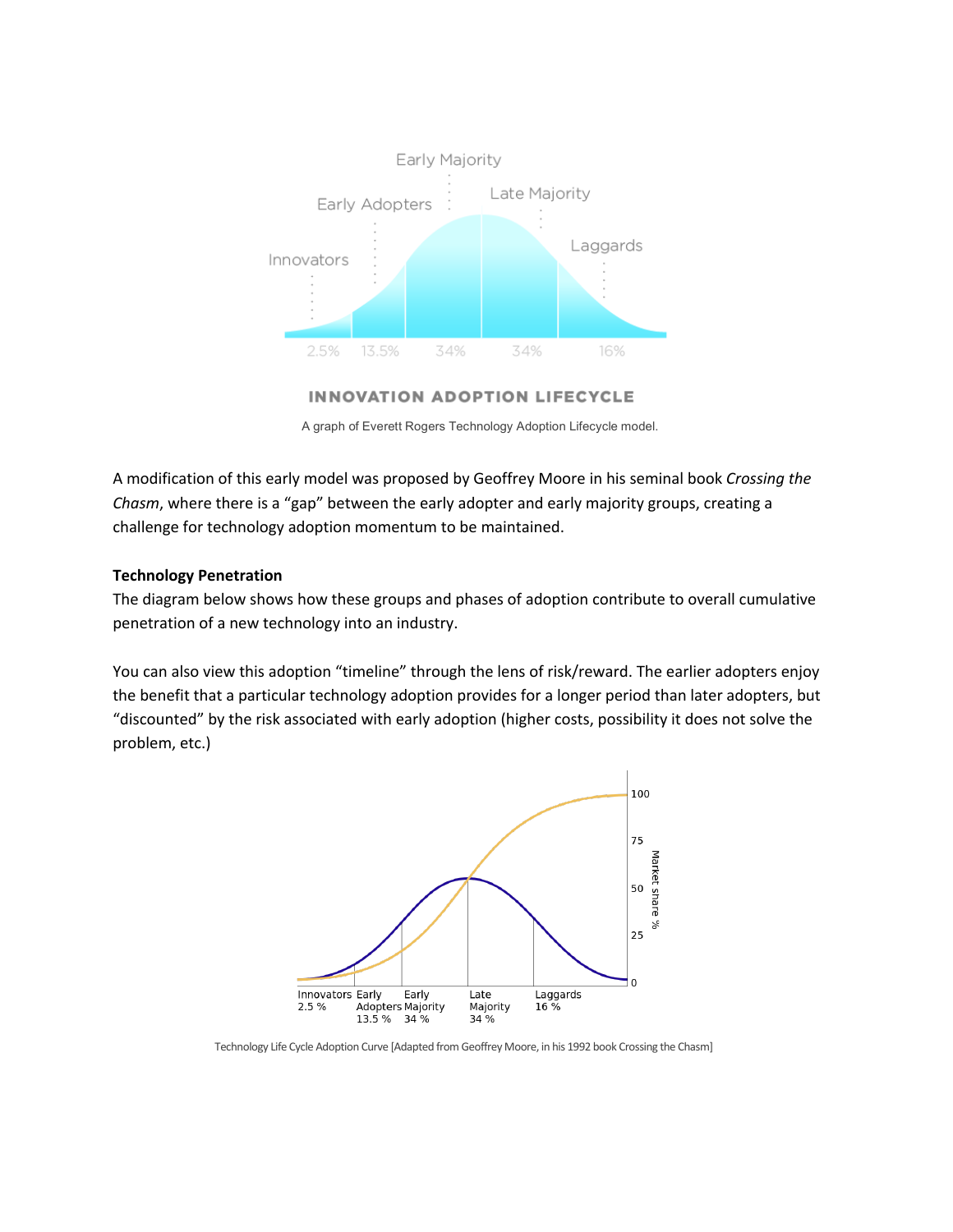

#### **INNOVATION ADOPTION LIFECYCLE**

A graph of Everett Rogers Technology Adoption Lifecycle model.

A modification of this early model was proposed by Geoffrey Moore in his seminal book *Crossing the Chasm*, where there is a "gap" between the early adopter and early majority groups, creating a challenge for technology adoption momentum to be maintained.

## **Technology Penetration**

The diagram below shows how these groups and phases of adoption contribute to overall cumulative penetration of a new technology into an industry.

You can also view this adoption "timeline" through the lens of risk/reward. The earlier adopters enjoy the benefit that a particular technology adoption provides for a longer period than later adopters, but "discounted" by the risk associated with early adoption (higher costs, possibility it does not solve the problem, etc.)



Technology Life Cycle Adoption Curve [Adapted from Geoffrey Moore, in his 1992 book Crossing the Chasm]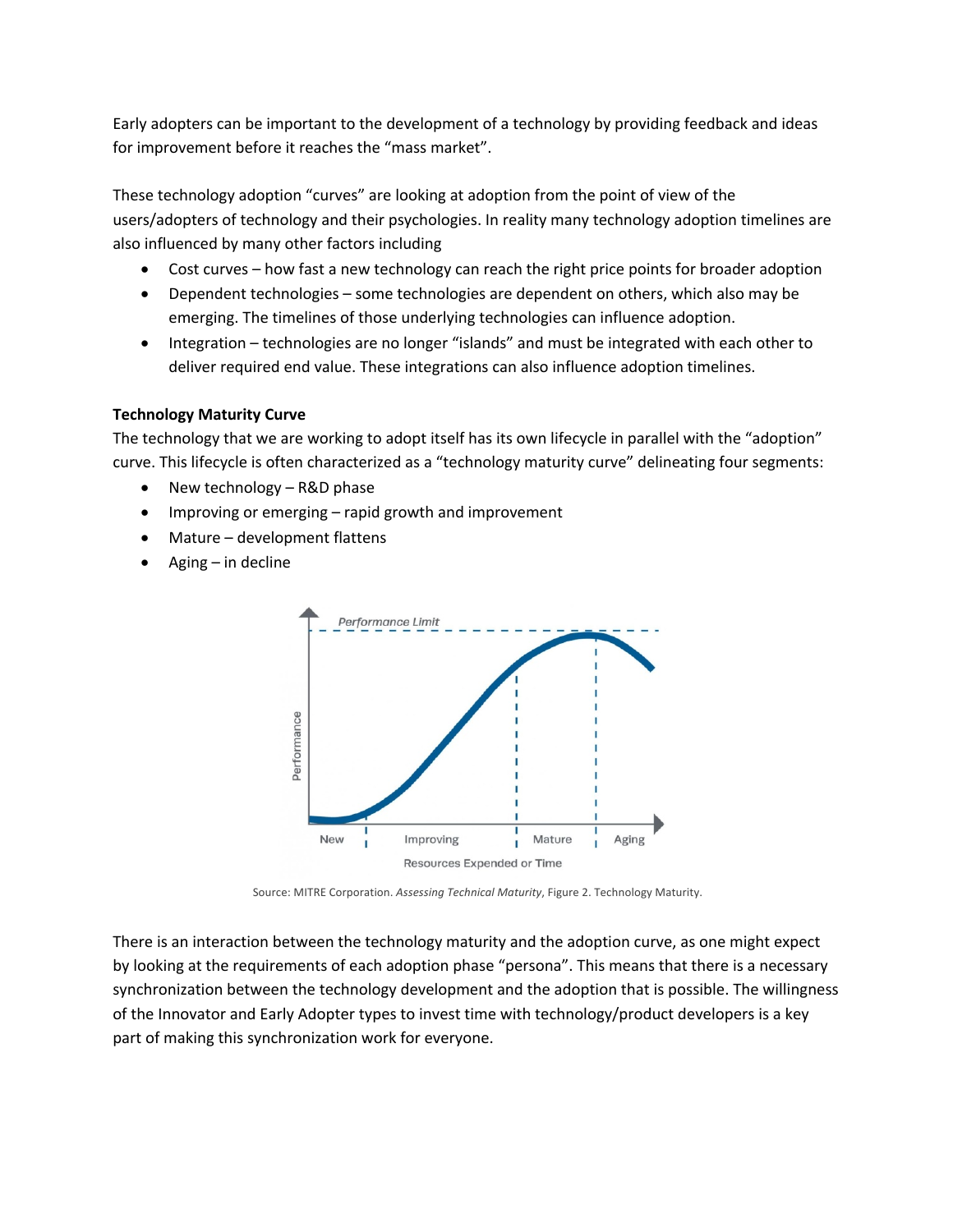Early adopters can be important to the development of a technology by providing feedback and ideas for improvement before it reaches the "mass market".

These technology adoption "curves" are looking at adoption from the point of view of the users/adopters of technology and their psychologies. In reality many technology adoption timelines are also influenced by many other factors including

- Cost curves how fast a new technology can reach the right price points for broader adoption
- Dependent technologies some technologies are dependent on others, which also may be emerging. The timelines of those underlying technologies can influence adoption.
- Integration technologies are no longer "islands" and must be integrated with each other to deliver required end value. These integrations can also influence adoption timelines.

# **Technology Maturity Curve**

The technology that we are working to adopt itself has its own lifecycle in parallel with the "adoption" curve. This lifecycle is often characterized as a "technology maturity curve" delineating four segments:

- New technology R&D phase
- Improving or emerging rapid growth and improvement
- Mature development flattens
- Aging in decline



Source: MITRE Corporation. *Assessing Technical Maturity*, Figure 2. Technology Maturity.

There is an interaction between the technology maturity and the adoption curve, as one might expect by looking at the requirements of each adoption phase "persona". This means that there is a necessary synchronization between the technology development and the adoption that is possible. The willingness of the Innovator and Early Adopter types to invest time with technology/product developers is a key part of making this synchronization work for everyone.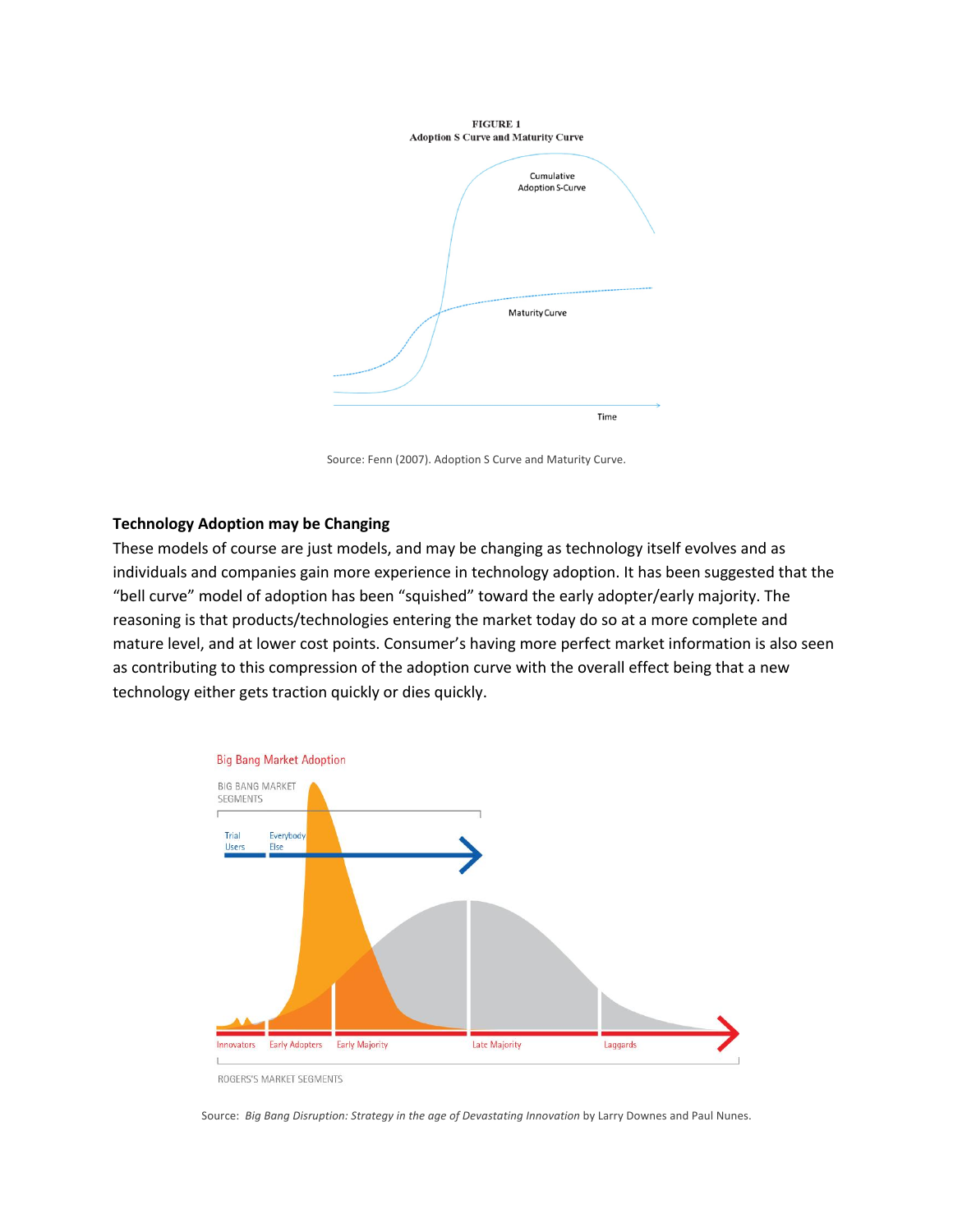

Source: Fenn (2007). Adoption S Curve and Maturity Curve.

## **Technology Adoption may be Changing**

These models of course are just models, and may be changing as technology itself evolves and as individuals and companies gain more experience in technology adoption. It has been suggested that the "bell curve" model of adoption has been "squished" toward the early adopter/early majority. The reasoning is that products/technologies entering the market today do so at a more complete and mature level, and at lower cost points. Consumer's having more perfect market information is also seen as contributing to this compression of the adoption curve with the overall effect being that a new technology either gets traction quickly or dies quickly.



ROGERS'S MARKET SEGMENTS

Source: *Big Bang Disruption: Strategy in the age of Devastating Innovation* by Larry Downes and Paul Nunes.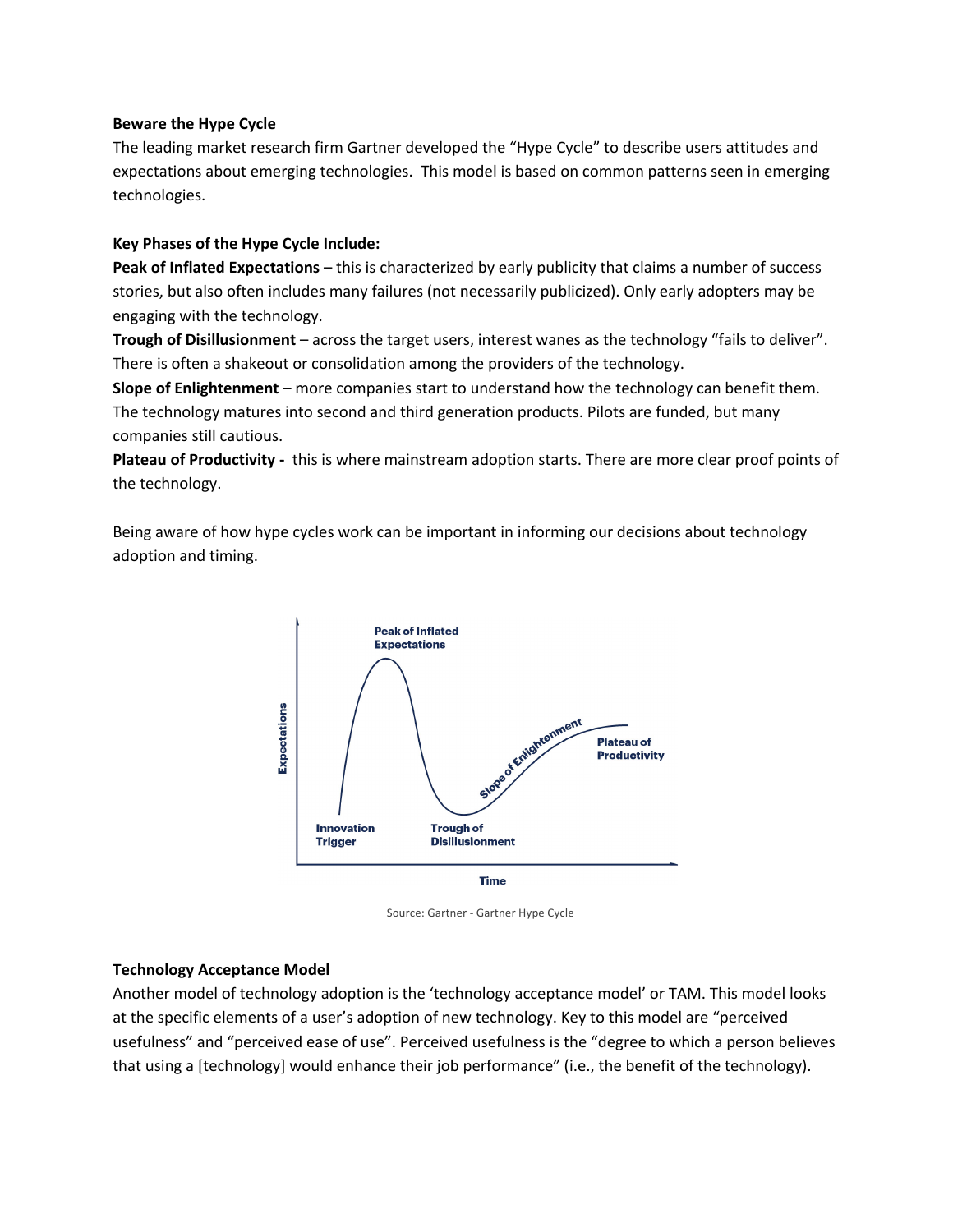## **Beware the Hype Cycle**

The leading market research firm Gartner developed the "Hype Cycle" to describe users attitudes and expectations about emerging technologies. This model is based on common patterns seen in emerging technologies.

## **Key Phases of the Hype Cycle Include:**

**Peak of Inflated Expectations** – this is characterized by early publicity that claims a number of success stories, but also often includes many failures (not necessarily publicized). Only early adopters may be engaging with the technology.

**Trough of Disillusionment** – across the target users, interest wanes as the technology "fails to deliver". There is often a shakeout or consolidation among the providers of the technology.

**Slope of Enlightenment** – more companies start to understand how the technology can benefit them. The technology matures into second and third generation products. Pilots are funded, but many companies still cautious.

**Plateau of Productivity -** this is where mainstream adoption starts. There are more clear proof points of the technology.

Being aware of how hype cycles work can be important in informing our decisions about technology adoption and timing.



Source: Gartner - Gartner Hype Cycle

## **Technology Acceptance Model**

Another model of technology adoption is the 'technology acceptance model' or TAM. This model looks at the specific elements of a user's adoption of new technology. Key to this model are "perceived usefulness" and "perceived ease of use". Perceived usefulness is the "degree to which a person believes that using a [technology] would enhance their job performance" (i.e., the benefit of the technology).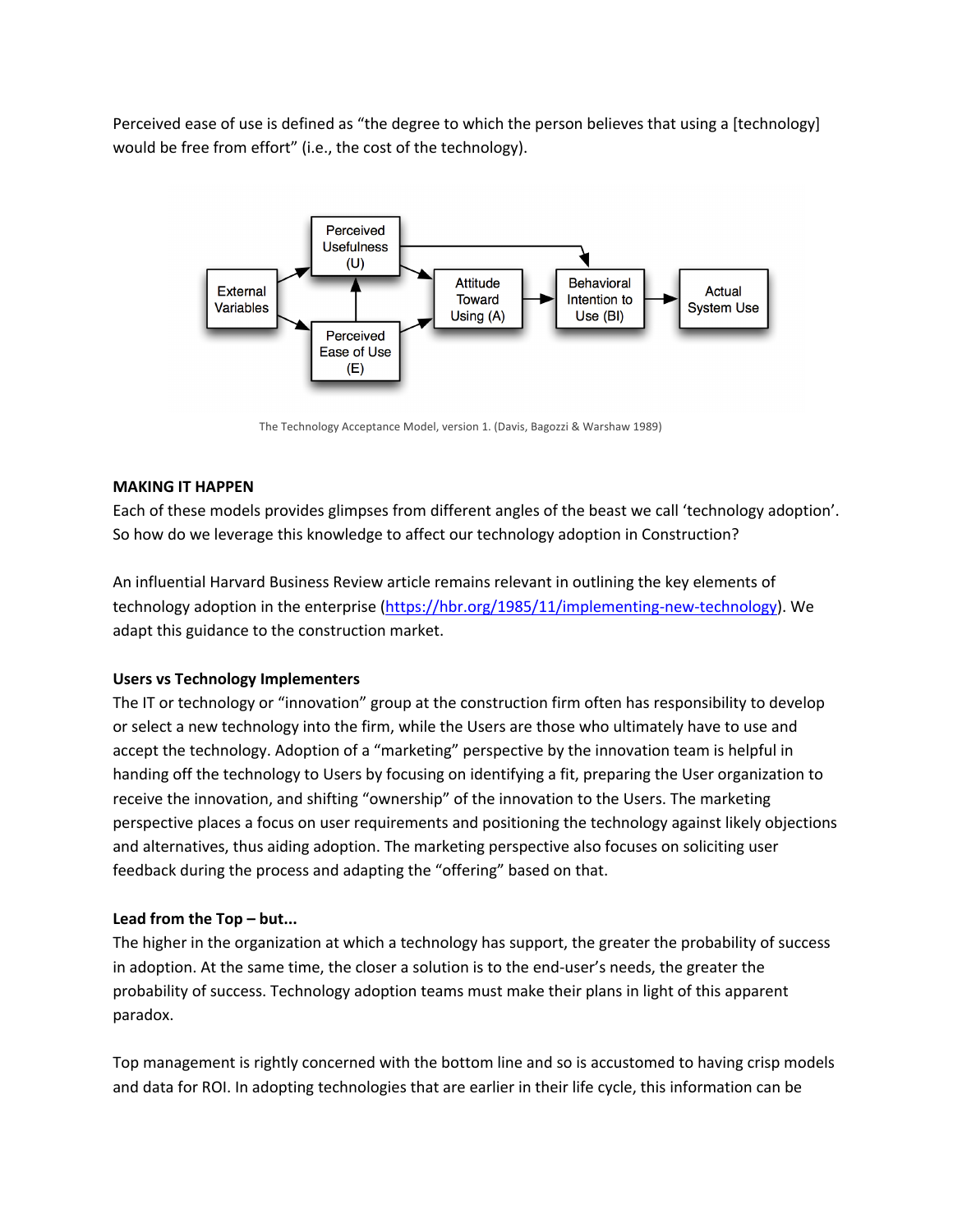Perceived ease of use is defined as "the degree to which the person believes that using a [technology] would be free from effort" (i.e., the cost of the technology).



The Technology Acceptance Model, version 1. (Davis, Bagozzi & Warshaw 1989)

# **MAKING IT HAPPEN**

Each of these models provides glimpses from different angles of the beast we call 'technology adoption'. So how do we leverage this knowledge to affect our technology adoption in Construction?

An influential Harvard Business Review article remains relevant in outlining the key elements of technology adoption in the enterprise (https://hbr.org/1985/11/implementing-new-technology). We adapt this guidance to the construction market.

# **Users vs Technology Implementers**

The IT or technology or "innovation" group at the construction firm often has responsibility to develop or select a new technology into the firm, while the Users are those who ultimately have to use and accept the technology. Adoption of a "marketing" perspective by the innovation team is helpful in handing off the technology to Users by focusing on identifying a fit, preparing the User organization to receive the innovation, and shifting "ownership" of the innovation to the Users. The marketing perspective places a focus on user requirements and positioning the technology against likely objections and alternatives, thus aiding adoption. The marketing perspective also focuses on soliciting user feedback during the process and adapting the "offering" based on that.

# **Lead from the Top – but...**

The higher in the organization at which a technology has support, the greater the probability of success in adoption. At the same time, the closer a solution is to the end-user's needs, the greater the probability of success. Technology adoption teams must make their plans in light of this apparent paradox.

Top management is rightly concerned with the bottom line and so is accustomed to having crisp models and data for ROI. In adopting technologies that are earlier in their life cycle, this information can be